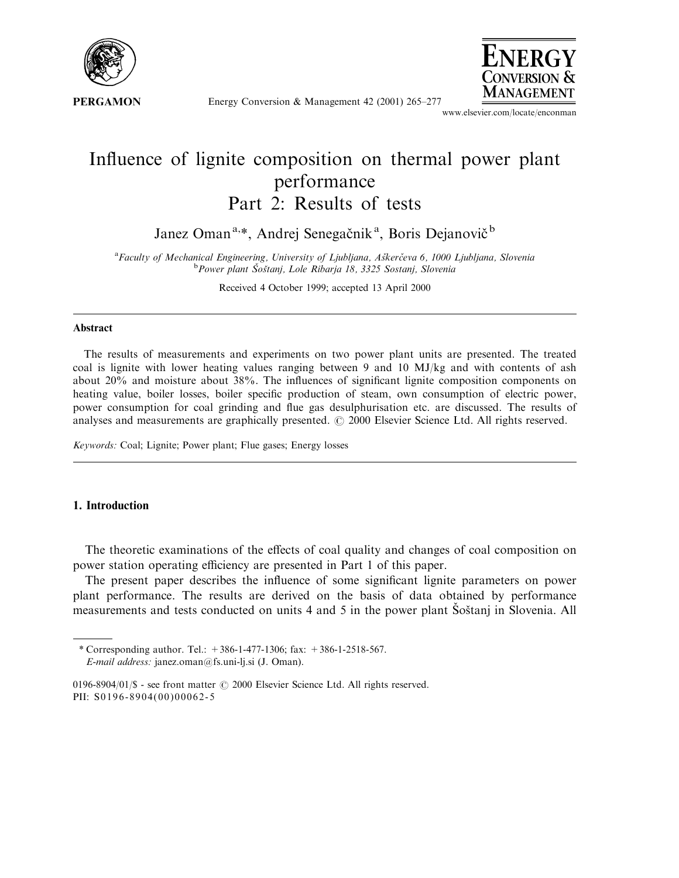

Energy Conversion & Management 42 (2001) 265-277



www.elsevier.com/locate/enconman

# Influence of lignite composition on thermal power plant performance Part 2: Results of tests

Janez Oman<sup>a,\*</sup>, Andrej Senegačnik<sup>a</sup>, Boris Dejanovič<sup>b</sup>

<sup>a</sup> Faculty of Mechanical Engineering, University of Ljubljana, Aškerčeva 6, 1000 Ljubljana, Slovenia<br><sup>b</sup> Power plant Šoštani, Lole Piharia 18, 3325 Sestani, Slovenia Power plant Šoštanj, Lole Ribarja 18, 3325 Sostanj, Slovenia

Received 4 October 1999; accepted 13 April 2000

### Abstract

The results of measurements and experiments on two power plant units are presented. The treated coal is lignite with lower heating values ranging between 9 and 10 MJ/kg and with contents of ash about 20% and moisture about 38%. The influences of significant lignite composition components on heating value, boiler losses, boiler specific production of steam, own consumption of electric power, power consumption for coal grinding and flue gas desulphurisation etc. are discussed. The results of analyses and measurements are graphically presented.  $\odot$  2000 Elsevier Science Ltd. All rights reserved.

Keywords: Coal; Lignite; Power plant; Flue gases; Energy losses

## 1. Introduction

The theoretic examinations of the effects of coal quality and changes of coal composition on power station operating efficiency are presented in Part 1 of this paper.

The present paper describes the influence of some significant lignite parameters on power plant performance. The results are derived on the basis of data obtained by performance measurements and tests conducted on units 4 and 5 in the power plant Sostanj in Slovenia. All

<sup>\*</sup> Corresponding author. Tel.:  $+386-1-477-1306$ ; fax:  $+386-1-2518-567$ .

E-mail address: janez.oman@fs.uni-lj.si (J. Oman).

<sup>0196-8904/01/\$ -</sup> see front matter  $\odot$  2000 Elsevier Science Ltd. All rights reserved. PII: S0196-8904(00)00062-5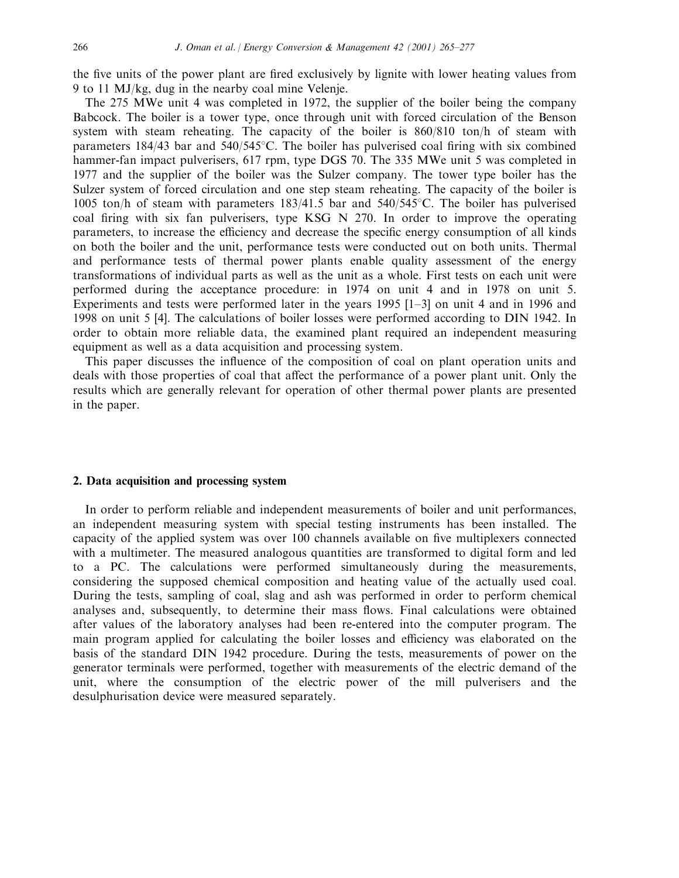the five units of the power plant are fired exclusively by lignite with lower heating values from 9 to 11 MJ/kg, dug in the nearby coal mine Velenje.

The 275 MWe unit 4 was completed in 1972, the supplier of the boiler being the company Babcock. The boiler is a tower type, once through unit with forced circulation of the Benson system with steam reheating. The capacity of the boiler is 860/810 ton/h of steam with parameters  $184/43$  bar and  $540/545^{\circ}$ C. The boiler has pulverised coal firing with six combined hammer-fan impact pulverisers, 617 rpm, type DGS 70. The 335 MWe unit 5 was completed in 1977 and the supplier of the boiler was the Sulzer company. The tower type boiler has the Sulzer system of forced circulation and one step steam reheating. The capacity of the boiler is 1005 ton/h of steam with parameters  $183/41.5$  bar and  $540/545^{\circ}$ C. The boiler has pulverised coal firing with six fan pulverisers, type KSG N  $270$ . In order to improve the operating parameters, to increase the efficiency and decrease the specific energy consumption of all kinds on both the boiler and the unit, performance tests were conducted out on both units. Thermal and performance tests of thermal power plants enable quality assessment of the energy transformations of individual parts as well as the unit as a whole. First tests on each unit were performed during the acceptance procedure: in 1974 on unit 4 and in 1978 on unit 5. Experiments and tests were performed later in the years  $1995$  [1–3] on unit 4 and in 1996 and 1998 on unit 5 [4]. The calculations of boiler losses were performed according to DIN 1942. In order to obtain more reliable data, the examined plant required an independent measuring equipment as well as a data acquisition and processing system.

This paper discusses the influence of the composition of coal on plant operation units and deals with those properties of coal that affect the performance of a power plant unit. Only the results which are generally relevant for operation of other thermal power plants are presented in the paper.

### 2. Data acquisition and processing system

In order to perform reliable and independent measurements of boiler and unit performances, an independent measuring system with special testing instruments has been installed. The capacity of the applied system was over 100 channels available on five multiplexers connected with a multimeter. The measured analogous quantities are transformed to digital form and led to a PC. The calculations were performed simultaneously during the measurements, considering the supposed chemical composition and heating value of the actually used coal. During the tests, sampling of coal, slag and ash was performed in order to perform chemical analyses and, subsequently, to determine their mass flows. Final calculations were obtained after values of the laboratory analyses had been re-entered into the computer program. The main program applied for calculating the boiler losses and efficiency was elaborated on the basis of the standard DIN 1942 procedure. During the tests, measurements of power on the generator terminals were performed, together with measurements of the electric demand of the unit, where the consumption of the electric power of the mill pulverisers and the desulphurisation device were measured separately.